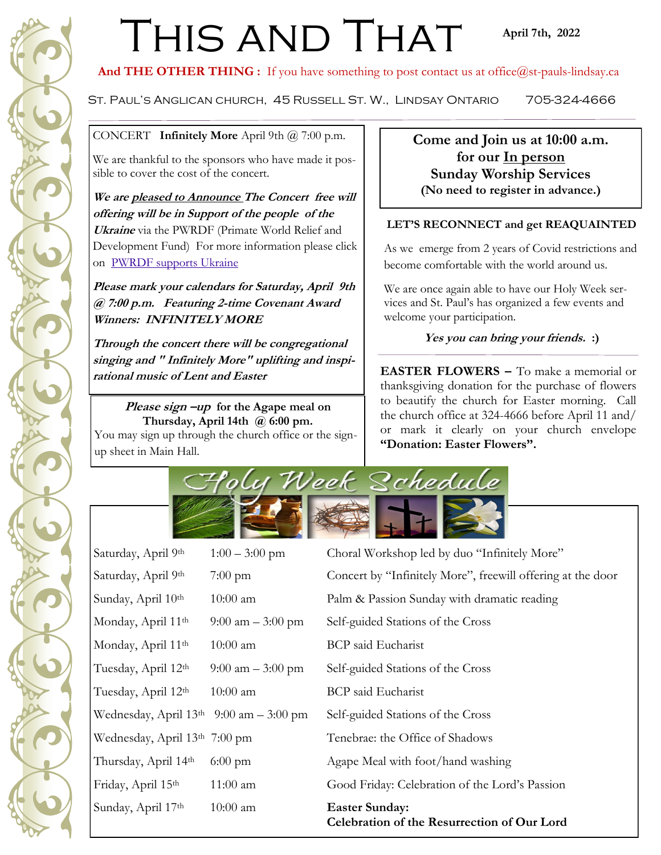# THIS AND THAT

## **April 7th, 2022**

And THE OTHER THING : If you have something to post contact us at office@st-pauls-lindsay.ca

St. Paul's Anglican church, 45 Russell St. W., Lindsay Ontario 705-324-4666

CONCERT **Infinitely More** April 9th @ 7:00 p.m.

We are thankful to the sponsors who have made it possible to cover the cost of the concert.

**We are pleased to Announce The Concert free will offering will be in Support of the people of the Ukraine** via the PWRDF (Primate World Relief and Development Fund) For more information please click on [PWRDF supports Ukraine](https://pwrdf.org/pwrdf-supports-ukrainians-forced-to-flee/)

**Please mark your calendars for Saturday, April 9th @ 7:00 p.m. Featuring 2-time Covenant Award Winners: INFINITELY MORE**

**Through the concert there will be congregational singing and " Infinitely More" uplifting and inspirational music of Lent and Easter**

**Please sign –up for the Agape meal on Thursday, April 14th @ 6:00 pm.** You may sign up through the church office or the signup sheet in Main Hall.

**Come and Join us at 10:00 a.m. for our In person Sunday Worship Services (No need to register in advance.)**

## **LET'S RECONNECT and get REAQUAINTED**

As we emerge from 2 years of Covid restrictions and become comfortable with the world around us.

We are once again able to have our Holy Week services and St. Paul's has organized a few events and welcome your participation.

# **Yes you can bring your friends. :)**

**EASTER FLOWERS –** To make a memorial or thanksgiving donation for the purchase of flowers to beautify the church for Easter morning. Call the church office at 324-4666 before April 11 and/ or mark it clearly on your church envelope **"Donation: Easter Flowers".**



| Saturday, April 9th                        | $1:00 - 3:00$ pm    | Choral Workshop led by duo "Infinitely More"                         |
|--------------------------------------------|---------------------|----------------------------------------------------------------------|
| Saturday, April 9th                        | $7:00 \text{ pm}$   | Concert by "Infinitely More", freewill offering at the door          |
| Sunday, April 10th                         | $10:00$ am          | Palm & Passion Sunday with dramatic reading                          |
| Monday, April 11th                         | 9:00 am $-$ 3:00 pm | Self-guided Stations of the Cross                                    |
| Monday, April 11th                         | $10:00$ am          | <b>BCP</b> said Eucharist                                            |
| Tuesday, April 12th                        | 9:00 am $-$ 3:00 pm | Self-guided Stations of the Cross                                    |
| Tuesday, April 12th                        | $10:00$ am          | <b>BCP</b> said Eucharist                                            |
| Wednesday, April $13th$ 9:00 am $-3:00$ pm |                     | Self-guided Stations of the Cross                                    |
| Wednesday, April 13th 7:00 pm              |                     | Tenebrae: the Office of Shadows                                      |
| Thursday, April 14th                       | $6:00 \text{ pm}$   | Agape Meal with foot/hand washing                                    |
| Friday, April 15th                         | $11:00$ am          | Good Friday: Celebration of the Lord's Passion                       |
| Sunday, April 17th                         | $10:00$ am          | <b>Easter Sunday:</b><br>Celebration of the Resurrection of Our Lord |